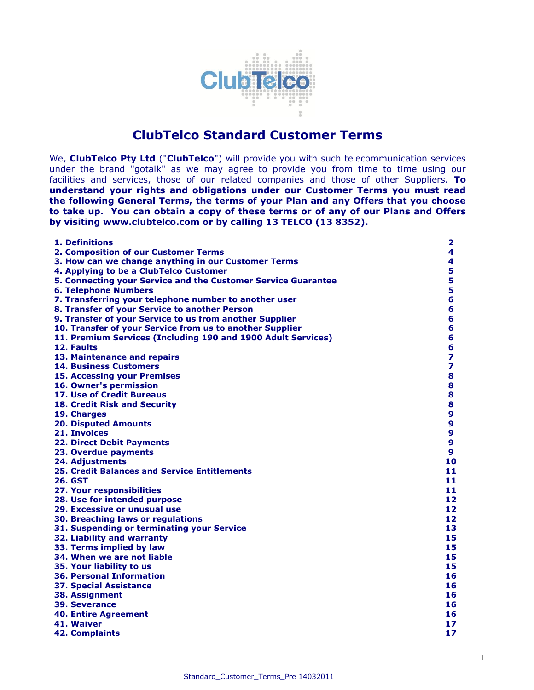

# **ClubTelco Standard Customer Terms**

We, **ClubTelco Pty Ltd** ("**ClubTelco**") will provide you with such telecommunication services under the brand "gotalk" as we may agree to provide you from time to time using our facilities and services, those of our related companies and those of other Suppliers. **To understand your rights and obligations under our Customer Terms you must read the following General Terms, the terms of your Plan and any Offers that you choose to take up. You can obtain a copy of these terms or of any of our Plans and Offers by visiting www[.clubtelco.com](http://www.aapt.com.au/) or by calling 13 TELCO (13 8352).**

| 1. Definitions                                                | 2                       |
|---------------------------------------------------------------|-------------------------|
| 2. Composition of our Customer Terms                          | 4                       |
| 3. How can we change anything in our Customer Terms           | 4                       |
| 4. Applying to be a ClubTelco Customer                        | 5                       |
| 5. Connecting your Service and the Customer Service Guarantee | 5                       |
| <b>6. Telephone Numbers</b>                                   | 5                       |
| 7. Transferring your telephone number to another user         | 6                       |
| 8. Transfer of your Service to another Person                 | 6                       |
| 9. Transfer of your Service to us from another Supplier       | 6                       |
| 10. Transfer of your Service from us to another Supplier      | 6                       |
| 11. Premium Services (Including 190 and 1900 Adult Services)  | 6                       |
| 12. Faults                                                    | 6                       |
| 13. Maintenance and repairs                                   | 7                       |
| <b>14. Business Customers</b>                                 | $\overline{\mathbf{z}}$ |
| <b>15. Accessing your Premises</b>                            | 8                       |
| 16. Owner's permission                                        | 8                       |
| 17. Use of Credit Bureaus                                     | 8                       |
| <b>18. Credit Risk and Security</b>                           | 8                       |
| 19. Charges                                                   | 9                       |
| <b>20. Disputed Amounts</b>                                   | 9                       |
| 21. Invoices                                                  | 9                       |
| <b>22. Direct Debit Payments</b>                              | 9                       |
| 23. Overdue payments                                          | $\boldsymbol{9}$        |
| 24. Adjustments                                               | 10                      |
| <b>25. Credit Balances and Service Entitlements</b>           | 11                      |
| 26. GST                                                       | 11                      |
| 27. Your responsibilities                                     | 11                      |
| 28. Use for intended purpose                                  | 12                      |
| 29. Excessive or unusual use                                  | 12                      |
| 30. Breaching laws or regulations                             | 12                      |
| 31. Suspending or terminating your Service                    | 13                      |
| 32. Liability and warranty                                    | 15                      |
| 33. Terms implied by law                                      | 15                      |
| 34. When we are not liable                                    | 15                      |
| 35. Your liability to us                                      | 15                      |
| <b>36. Personal Information</b>                               | 16                      |
| <b>37. Special Assistance</b>                                 | 16                      |
| <b>38. Assignment</b>                                         | 16                      |
| <b>39. Severance</b>                                          | 16                      |
| <b>40. Entire Agreement</b>                                   | 16                      |
| 41. Waiver                                                    | 17                      |
| <b>42. Complaints</b>                                         | 17                      |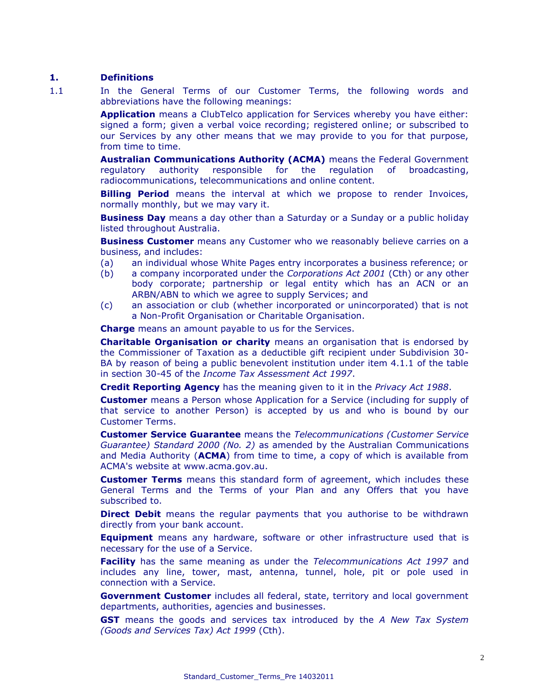#### **1. Definitions**

1.1 In the General Terms of our Customer Terms, the following words and abbreviations have the following meanings:

> **Application** means a ClubTelco application for Services whereby you have either: signed a form; given a verbal voice recording; registered online; or subscribed to our Services by any other means that we may provide to you for that purpose, from time to time.

> **Australian Communications Authority (ACMA)** means the Federal Government regulatory authority responsible for the regulation of broadcasting, radiocommunications, telecommunications and online content.

> **Billing Period** means the interval at which we propose to render Invoices, normally monthly, but we may vary it.

> **Business Day** means a day other than a Saturday or a Sunday or a public holiday listed throughout Australia.

> **Business Customer** means any Customer who we reasonably believe carries on a business, and includes:

- (a) an individual whose White Pages entry incorporates a business reference; or
- (b) a company incorporated under the *Corporations Act 2001* (Cth) or any other body corporate; partnership or legal entity which has an ACN or an ARBN/ABN to which we agree to supply Services; and
- (c) an association or club (whether incorporated or unincorporated) that is not a Non-Profit Organisation or Charitable Organisation.

**Charge** means an amount payable to us for the Services.

**Charitable Organisation or charity** means an organisation that is endorsed by the Commissioner of Taxation as a deductible gift recipient under Subdivision 30- BA by reason of being a public benevolent institution under item 4.1.1 of the table in section 30-45 of the *Income Tax Assessment Act 1997*.

**Credit Reporting Agency** has the meaning given to it in the *Privacy Act 1988*.

**Customer** means a Person whose Application for a Service (including for supply of that service to another Person) is accepted by us and who is bound by our Customer Terms.

**Customer Service Guarantee** means the *Telecommunications (Customer Service Guarantee) Standard 2000 (No. 2)* as amended by the Australian Communications and Media Authority (**ACMA**) from time to time, a copy of which is available from ACMA's website at [www.acma.gov.au.](http://www.acma.gov.au/)

**Customer Terms** means this standard form of agreement, which includes these General Terms and the Terms of your Plan and any Offers that you have subscribed to.

**Direct Debit** means the regular payments that you authorise to be withdrawn directly from your bank account.

**Equipment** means any hardware, software or other infrastructure used that is necessary for the use of a Service.

**Facility** has the same meaning as under the *Telecommunications Act 1997* and includes any line, tower, mast, antenna, tunnel, hole, pit or pole used in connection with a Service.

**Government Customer** includes all federal, state, territory and local government departments, authorities, agencies and businesses.

**GST** means the goods and services tax introduced by the *A New Tax System (Goods and Services Tax) Act 1999* (Cth).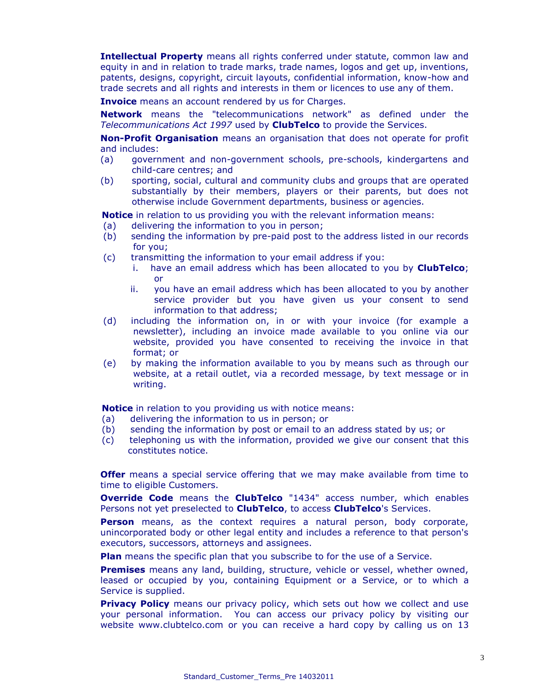**Intellectual Property** means all rights conferred under statute, common law and equity in and in relation to trade marks, trade names, logos and get up, inventions, patents, designs, copyright, circuit layouts, confidential information, know-how and trade secrets and all rights and interests in them or licences to use any of them.

**Invoice** means an account rendered by us for Charges.

**Network** means the "telecommunications network" as defined under the *Telecommunications Act 1997* used by **ClubTelco** to provide the Services.

**Non-Profit Organisation** means an organisation that does not operate for profit and includes:

- (a) government and non-government schools, pre-schools, kindergartens and child-care centres; and
- (b) sporting, social, cultural and community clubs and groups that are operated substantially by their members, players or their parents, but does not otherwise include Government departments, business or agencies.

**Notice** in relation to us providing you with the relevant information means:

- (a) delivering the information to you in person;
- (b) sending the information by pre-paid post to the address listed in our records for you;
- (c) transmitting the information to your email address if you:
	- i. have an email address which has been allocated to you by **ClubTelco**; or
	- ii. you have an email address which has been allocated to you by another service provider but you have given us your consent to send information to that address;
- (d) including the information on, in or with your invoice (for example a newsletter), including an invoice made available to you online via our website, provided you have consented to receiving the invoice in that format; or
- (e) by making the information available to you by means such as through our website, at a retail outlet, via a recorded message, by text message or in writing.

**Notice** in relation to you providing us with notice means:

- (a) delivering the information to us in person; or
- (b) sending the information by post or email to an address stated by us; or
- (c) telephoning us with the information, provided we give our consent that this constitutes notice.

**Offer** means a special service offering that we may make available from time to time to eligible Customers.

**Override Code** means the **ClubTelco** "1434" access number, which enables Persons not yet preselected to **ClubTelco**, to access **ClubTelco**'s Services.

**Person** means, as the context requires a natural person, body corporate, unincorporated body or other legal entity and includes a reference to that person's executors, successors, attorneys and assignees.

**Plan** means the specific plan that you subscribe to for the use of a Service.

**Premises** means any land, building, structure, vehicle or vessel, whether owned, leased or occupied by you, containing Equipment or a Service, or to which a Service is supplied.

**Privacy Policy** means our privacy policy, which sets out how we collect and use your personal information. You can access our privacy policy by visiting our website www[.clubtelco.](http://www.aapt.com.au/)com or you can receive a hard copy by calling us on 13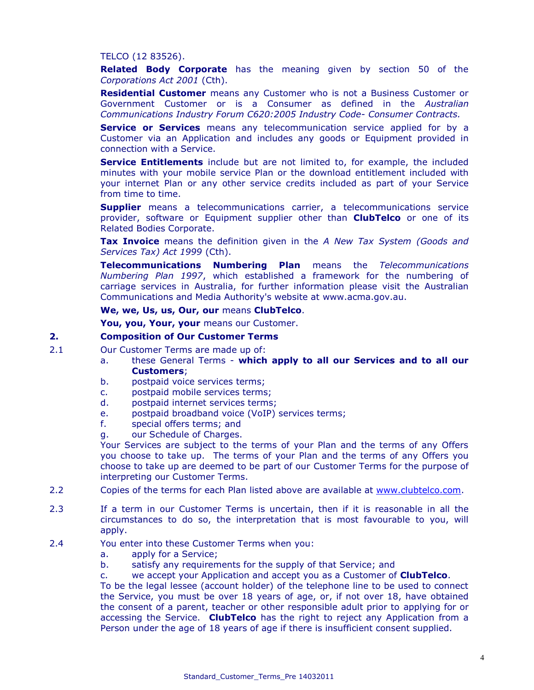### TELCO (12 83526).

**Related Body Corporate** has the meaning given by section 50 of the *Corporations Act 2001* (Cth).

**Residential Customer** means any Customer who is not a Business Customer or Government Customer or is a Consumer as defined in the *Australian Communications Industry Forum C620:2005 Industry Code- Consumer Contracts.* 

**Service or Services** means any telecommunication service applied for by a Customer via an Application and includes any goods or Equipment provided in connection with a Service.

**Service Entitlements** include but are not limited to, for example, the included minutes with your mobile service Plan or the download entitlement included with your internet Plan or any other service credits included as part of your Service from time to time.

**Supplier** means a telecommunications carrier, a telecommunications service provider, software or Equipment supplier other than **ClubTelco** or one of its Related Bodies Corporate.

**Tax Invoice** means the definition given in the *A New Tax System (Goods and Services Tax) Act 1999* (Cth).

**Telecommunications Numbering Plan** means the *Telecommunications Numbering Plan 1997*, which established a framework for the numbering of carriage services in Australia, for further information please visit the Australian Communications and Media Authority's website at [www.acma.gov.au.](http://www.acma.gov.au/)

#### **We, we, Us, us, Our, our** means **ClubTelco**.

**You, you, Your, your** means our Customer.

### **2. Composition of Our Customer Terms**

- 2.1 Our Customer Terms are made up of:
	- a. these General Terms **which apply to all our Services and to all our Customers**;
	- b. postpaid voice services terms;
	- c. postpaid mobile services terms;
	- d. postpaid internet services terms;
	- e. postpaid broadband voice (VoIP) services terms;
	- f. special offers terms; and
	- g. our Schedule of Charges.

Your Services are subject to the terms of your Plan and the terms of any Offers you choose to take up. The terms of your Plan and the terms of any Offers you choose to take up are deemed to be part of our Customer Terms for the purpose of interpreting our Customer Terms.

- 2.2 Copies of the terms for each Plan listed above are available at [www.clubtelco.com.](http://www.clubtelco.com/)
- 2.3 If a term in our Customer Terms is uncertain, then if it is reasonable in all the circumstances to do so, the interpretation that is most favourable to you, will apply.
- 2.4 You enter into these Customer Terms when you:
	- a. apply for a Service;
	- b. satisfy any requirements for the supply of that Service; and
	- c. we accept your Application and accept you as a Customer of **ClubTelco**.

To be the legal lessee (account holder) of the telephone line to be used to connect the Service, you must be over 18 years of age, or, if not over 18, have obtained the consent of a parent, teacher or other responsible adult prior to applying for or accessing the Service. **ClubTelco** has the right to reject any Application from a Person under the age of 18 years of age if there is insufficient consent supplied.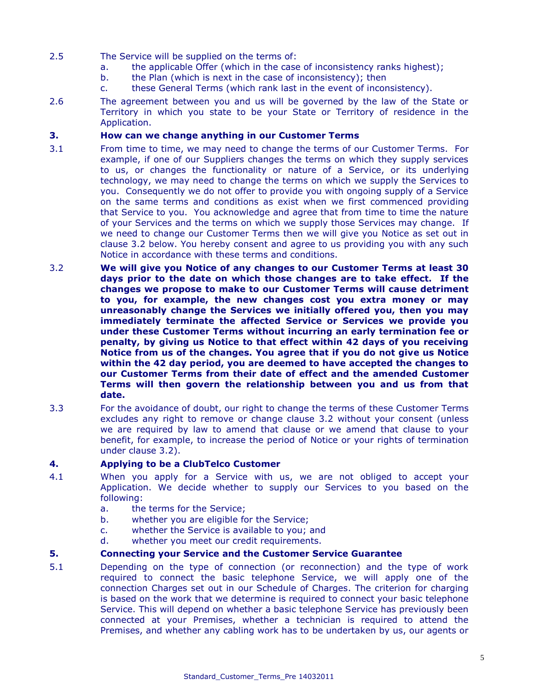- 2.5 The Service will be supplied on the terms of:
	- a. the applicable Offer (which in the case of inconsistency ranks highest);
	- b. the Plan (which is next in the case of inconsistency); then
	- c. these General Terms (which rank last in the event of inconsistency).
- 2.6 The agreement between you and us will be governed by the law of the State or Territory in which you state to be your State or Territory of residence in the Application.

# **3. How can we change anything in our Customer Terms**

- 3.1 From time to time, we may need to change the terms of our Customer Terms. For example, if one of our Suppliers changes the terms on which they supply services to us, or changes the functionality or nature of a Service, or its underlying technology, we may need to change the terms on which we supply the Services to you. Consequently we do not offer to provide you with ongoing supply of a Service on the same terms and conditions as exist when we first commenced providing that Service to you. You acknowledge and agree that from time to time the nature of your Services and the terms on which we supply those Services may change. If we need to change our Customer Terms then we will give you Notice as set out in clause 3.2 below. You hereby consent and agree to us providing you with any such Notice in accordance with these terms and conditions.
- 3.2 **We will give you Notice of any changes to our Customer Terms at least 30 days prior to the date on which those changes are to take effect. If the changes we propose to make to our Customer Terms will cause detriment to you, for example, the new changes cost you extra money or may unreasonably change the Services we initially offered you, then you may immediately terminate the affected Service or Services we provide you under these Customer Terms without incurring an early termination fee or penalty, by giving us Notice to that effect within 42 days of you receiving Notice from us of the changes. You agree that if you do not give us Notice within the 42 day period, you are deemed to have accepted the changes to our Customer Terms from their date of effect and the amended Customer Terms will then govern the relationship between you and us from that date.**
- 3.3 For the avoidance of doubt, our right to change the terms of these Customer Terms excludes any right to remove or change clause 3.2 without your consent (unless we are required by law to amend that clause or we amend that clause to your benefit, for example, to increase the period of Notice or your rights of termination under clause 3.2).

# **4. Applying to be a ClubTelco Customer**

- 4.1 When you apply for a Service with us, we are not obliged to accept your Application. We decide whether to supply our Services to you based on the following:
	- a. the terms for the Service;
	- b. whether you are eligible for the Service;
	- c. whether the Service is available to you; and
	- d. whether you meet our credit requirements.

# **5. Connecting your Service and the Customer Service Guarantee**

5.1 Depending on the type of connection (or reconnection) and the type of work required to connect the basic telephone Service, we will apply one of the connection Charges set out in our Schedule of Charges. The criterion for charging is based on the work that we determine is required to connect your basic telephone Service. This will depend on whether a basic telephone Service has previously been connected at your Premises, whether a technician is required to attend the Premises, and whether any cabling work has to be undertaken by us, our agents or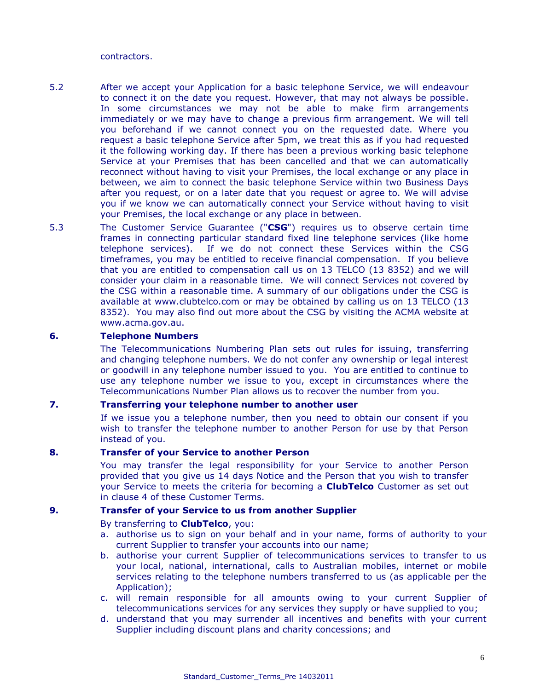contractors.

- 5.2 After we accept your Application for a basic telephone Service, we will endeavour to connect it on the date you request. However, that may not always be possible. In some circumstances we may not be able to make firm arrangements immediately or we may have to change a previous firm arrangement. We will tell you beforehand if we cannot connect you on the requested date. Where you request a basic telephone Service after 5pm, we treat this as if you had requested it the following working day. If there has been a previous working basic telephone Service at your Premises that has been cancelled and that we can automatically reconnect without having to visit your Premises, the local exchange or any place in between, we aim to connect the basic telephone Service within two Business Days after you request, or on a later date that you request or agree to. We will advise you if we know we can automatically connect your Service without having to visit your Premises, the local exchange or any place in between.
- 5.3 The Customer Service Guarantee ("**CSG**") requires us to observe certain time frames in connecting particular standard fixed line telephone services (like home telephone services). If we do not connect these Services within the CSG timeframes, you may be entitled to receive financial compensation. If you believe that you are entitled to compensation call us on 13 TELCO (13 8352) and we will consider your claim in a reasonable time. We will connect Services not covered by the CSG within a reasonable time. A summary of our obligations under the CSG is available at www[.clubtelco.com](http://www.aapt.com.au/) or may be obtained by calling us on 13 TELCO (13 8352). You may also find out more about the CSG by visiting the ACMA website at www.acma.gov.au.

# **6. Telephone Numbers**

The Telecommunications Numbering Plan sets out rules for issuing, transferring and changing telephone numbers. We do not confer any ownership or legal interest or goodwill in any telephone number issued to you. You are entitled to continue to use any telephone number we issue to you, except in circumstances where the Telecommunications Number Plan allows us to recover the number from you.

# **7. Transferring your telephone number to another user**

If we issue you a telephone number, then you need to obtain our consent if you wish to transfer the telephone number to another Person for use by that Person instead of you.

#### **8. Transfer of your Service to another Person**

You may transfer the legal responsibility for your Service to another Person provided that you give us 14 days Notice and the Person that you wish to transfer your Service to meets the criteria for becoming a **ClubTelco** Customer as set out in clause 4 of these Customer Terms.

#### **9. Transfer of your Service to us from another Supplier**

#### By transferring to **ClubTelco**, you:

- a. authorise us to sign on your behalf and in your name, forms of authority to your current Supplier to transfer your accounts into our name;
- b. authorise your current Supplier of telecommunications services to transfer to us your local, national, international, calls to Australian mobiles, internet or mobile services relating to the telephone numbers transferred to us (as applicable per the Application);
- c. will remain responsible for all amounts owing to your current Supplier of telecommunications services for any services they supply or have supplied to you;
- d. understand that you may surrender all incentives and benefits with your current Supplier including discount plans and charity concessions; and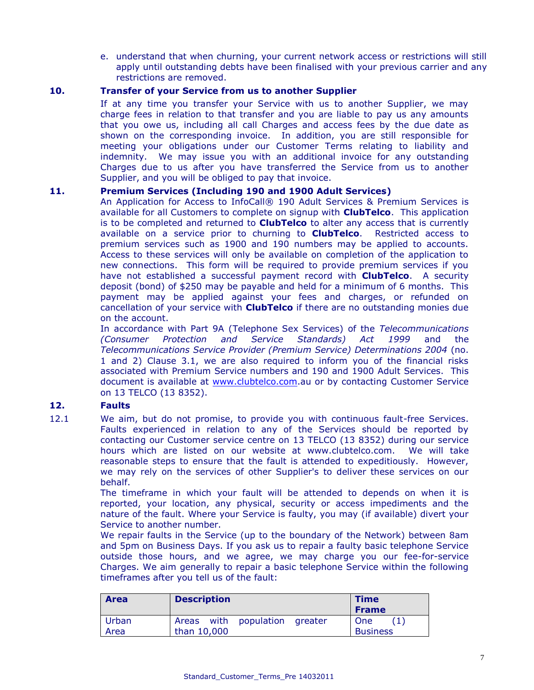e. understand that when churning, your current network access or restrictions will still apply until outstanding debts have been finalised with your previous carrier and any restrictions are removed.

# **10. Transfer of your Service from us to another Supplier**

If at any time you transfer your Service with us to another Supplier, we may charge fees in relation to that transfer and you are liable to pay us any amounts that you owe us, including all call Charges and access fees by the due date as shown on the corresponding invoice. In addition, you are still responsible for meeting your obligations under our Customer Terms relating to liability and indemnity. We may issue you with an additional invoice for any outstanding Charges due to us after you have transferred the Service from us to another Supplier, and you will be obliged to pay that invoice.

# **11. Premium Services (Including 190 and 1900 Adult Services)**

An Application for Access to InfoCall® 190 Adult Services & Premium Services is available for all Customers to complete on signup with **ClubTelco**. This application is to be completed and returned to **ClubTelco** to alter any access that is currently available on a service prior to churning to **ClubTelco**. Restricted access to premium services such as 1900 and 190 numbers may be applied to accounts. Access to these services will only be available on completion of the application to new connections. This form will be required to provide premium services if you have not established a successful payment record with **ClubTelco**. A security deposit (bond) of \$250 may be payable and held for a minimum of 6 months. This payment may be applied against your fees and charges, or refunded on cancellation of your service with **ClubTelco** if there are no outstanding monies due on the account.

In accordance with Part 9A (Telephone Sex Services) of the *Telecommunications (Consumer Protection and Service Standards) Act 1999* and the *Telecommunications Service Provider (Premium Service) Determinations 2004* (no. 1 and 2) Clause 3.1, we are also required to inform you of the financial risks associated with Premium Service numbers and 190 and 1900 Adult Services. This document is available at [www.clubtelco.com.](http://www.clubtelco.com/)au or by contacting Customer Service on 13 TELCO (13 8352).

# **12. Faults**

12.1 We aim, but do not promise, to provide you with continuous fault-free Services. Faults experienced in relation to any of the Services should be reported by contacting our Customer service centre on 13 TELCO (13 8352) during our service hours which are listed on our website at www.clubtelco.com. We will take reasonable steps to ensure that the fault is attended to expeditiously. However, we may rely on the services of other Supplier's to deliver these services on our behalf.

> The timeframe in which your fault will be attended to depends on when it is reported, your location, any physical, security or access impediments and the nature of the fault. Where your Service is faulty, you may (if available) divert your Service to another number.

> We repair faults in the Service (up to the boundary of the Network) between 8am and 5pm on Business Days. If you ask us to repair a faulty basic telephone Service outside those hours, and we agree, we may charge you our fee-for-service Charges. We aim generally to repair a basic telephone Service within the following timeframes after you tell us of the fault:

| <b>Area</b> | <b>Description</b>               | <b>Time</b><br><b>Frame</b> |
|-------------|----------------------------------|-----------------------------|
| Urban       | Areas with population<br>greater | One                         |
| Area        | than 10,000                      | <b>Business</b>             |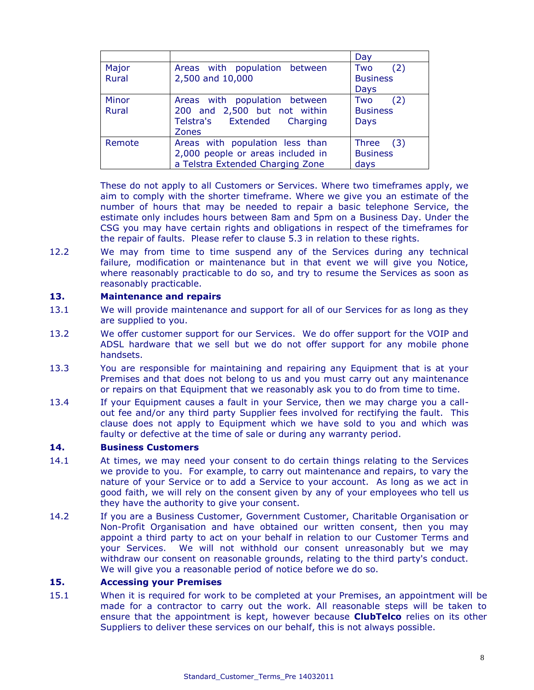|              |                                   | Day             |
|--------------|-----------------------------------|-----------------|
| Major        | Areas with population between     | (2)<br>Two      |
| Rural        | 2,500 and 10,000                  | <b>Business</b> |
|              |                                   | Days            |
| Minor        | Areas with population between     | (2)<br>Two      |
| <b>Rural</b> | 200 and 2,500 but not within      | <b>Business</b> |
|              | Telstra's Extended<br>Charging    | <b>Days</b>     |
|              | <b>Zones</b>                      |                 |
| Remote       | Areas with population less than   | Three<br>(3)    |
|              | 2,000 people or areas included in | <b>Business</b> |
|              | a Telstra Extended Charging Zone  | days            |

These do not apply to all Customers or Services. Where two timeframes apply, we aim to comply with the shorter timeframe. Where we give you an estimate of the number of hours that may be needed to repair a basic telephone Service, the estimate only includes hours between 8am and 5pm on a Business Day. Under the CSG you may have certain rights and obligations in respect of the timeframes for the repair of faults. Please refer to clause 5.3 in relation to these rights.

12.2 We may from time to time suspend any of the Services during any technical failure, modification or maintenance but in that event we will give you Notice, where reasonably practicable to do so, and try to resume the Services as soon as reasonably practicable.

### **13. Maintenance and repairs**

- 13.1 We will provide maintenance and support for all of our Services for as long as they are supplied to you.
- 13.2 We offer customer support for our Services. We do offer support for the VOIP and ADSL hardware that we sell but we do not offer support for any mobile phone handsets.
- 13.3 You are responsible for maintaining and repairing any Equipment that is at your Premises and that does not belong to us and you must carry out any maintenance or repairs on that Equipment that we reasonably ask you to do from time to time.
- 13.4 If your Equipment causes a fault in your Service, then we may charge you a callout fee and/or any third party Supplier fees involved for rectifying the fault. This clause does not apply to Equipment which we have sold to you and which was faulty or defective at the time of sale or during any warranty period.

# **14. Business Customers**

- 14.1 At times, we may need your consent to do certain things relating to the Services we provide to you. For example, to carry out maintenance and repairs, to vary the nature of your Service or to add a Service to your account. As long as we act in good faith, we will rely on the consent given by any of your employees who tell us they have the authority to give your consent.
- 14.2 If you are a Business Customer, Government Customer, Charitable Organisation or Non-Profit Organisation and have obtained our written consent, then you may appoint a third party to act on your behalf in relation to our Customer Terms and your Services. We will not withhold our consent unreasonably but we may withdraw our consent on reasonable grounds, relating to the third party's conduct. We will give you a reasonable period of notice before we do so.

#### **15. Accessing your Premises**

15.1 When it is required for work to be completed at your Premises, an appointment will be made for a contractor to carry out the work. All reasonable steps will be taken to ensure that the appointment is kept, however because **ClubTelco** relies on its other Suppliers to deliver these services on our behalf, this is not always possible.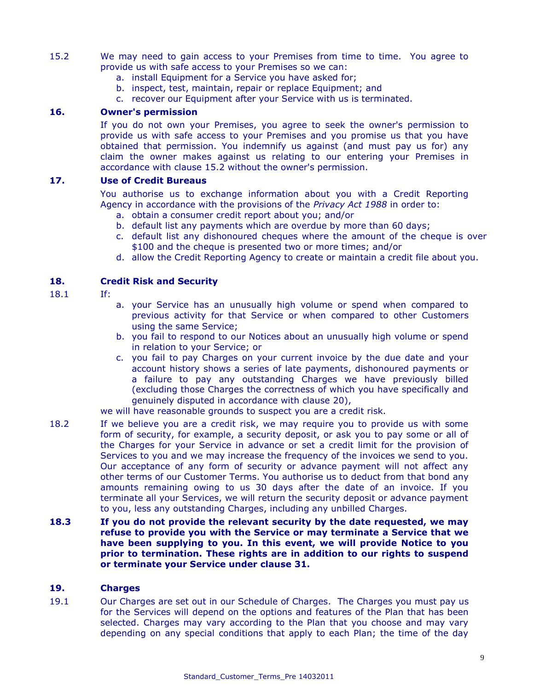- 15.2 We may need to gain access to your Premises from time to time. You agree to provide us with safe access to your Premises so we can:
	- a. install Equipment for a Service you have asked for;
	- b. inspect, test, maintain, repair or replace Equipment; and
	- c. recover our Equipment after your Service with us is terminated.

# **16. Owner's permission**

If you do not own your Premises, you agree to seek the owner's permission to provide us with safe access to your Premises and you promise us that you have obtained that permission. You indemnify us against (and must pay us for) any claim the owner makes against us relating to our entering your Premises in accordance with clause 15.2 without the owner's permission.

### **17. Use of Credit Bureaus**

You authorise us to exchange information about you with a Credit Reporting Agency in accordance with the provisions of the *Privacy Act 1988* in order to:

- a. obtain a consumer credit report about you; and/or
- b. default list any payments which are overdue by more than 60 days;
- c. default list any dishonoured cheques where the amount of the cheque is over \$100 and the cheque is presented two or more times; and/or
- d. allow the Credit Reporting Agency to create or maintain a credit file about you.

# **18. Credit Risk and Security**

- 18.1 If:
- a. your Service has an unusually high volume or spend when compared to previous activity for that Service or when compared to other Customers using the same Service;
- b. you fail to respond to our Notices about an unusually high volume or spend in relation to your Service; or
- c. you fail to pay Charges on your current invoice by the due date and your account history shows a series of late payments, dishonoured payments or a failure to pay any outstanding Charges we have previously billed (excluding those Charges the correctness of which you have specifically and genuinely disputed in accordance with clause 20),

we will have reasonable grounds to suspect you are a credit risk.

- 18.2 If we believe you are a credit risk, we may require you to provide us with some form of security, for example, a security deposit, or ask you to pay some or all of the Charges for your Service in advance or set a credit limit for the provision of Services to you and we may increase the frequency of the invoices we send to you. Our acceptance of any form of security or advance payment will not affect any other terms of our Customer Terms. You authorise us to deduct from that bond any amounts remaining owing to us 30 days after the date of an invoice. If you terminate all your Services, we will return the security deposit or advance payment to you, less any outstanding Charges, including any unbilled Charges.
- **18.3 If you do not provide the relevant security by the date requested, we may refuse to provide you with the Service or may terminate a Service that we have been supplying to you. In this event, we will provide Notice to you prior to termination. These rights are in addition to our rights to suspend or terminate your Service under clause 31.**

#### **19. Charges**

19.1 Our Charges are set out in our Schedule of Charges. The Charges you must pay us for the Services will depend on the options and features of the Plan that has been selected. Charges may vary according to the Plan that you choose and may vary depending on any special conditions that apply to each Plan; the time of the day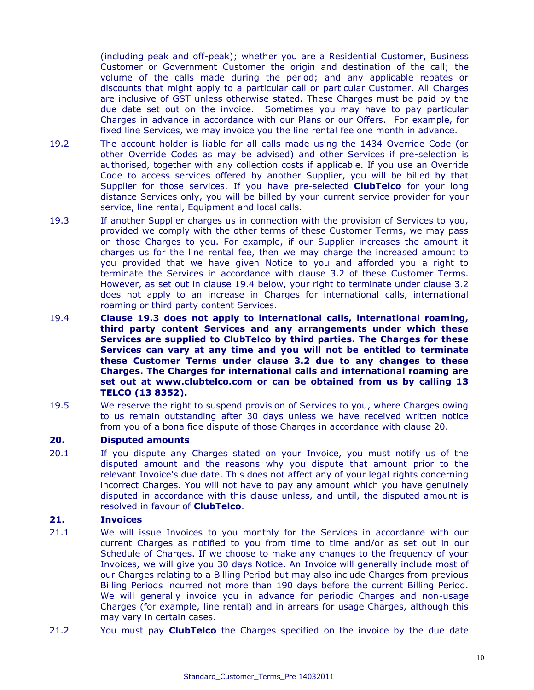(including peak and off-peak); whether you are a Residential Customer, Business Customer or Government Customer the origin and destination of the call; the volume of the calls made during the period; and any applicable rebates or discounts that might apply to a particular call or particular Customer. All Charges are inclusive of GST unless otherwise stated. These Charges must be paid by the due date set out on the invoice. Sometimes you may have to pay particular Charges in advance in accordance with our Plans or our Offers. For example, for fixed line Services, we may invoice you the line rental fee one month in advance.

- 19.2 The account holder is liable for all calls made using the 1434 Override Code (or other Override Codes as may be advised) and other Services if pre-selection is authorised, together with any collection costs if applicable. If you use an Override Code to access services offered by another Supplier, you will be billed by that Supplier for those services. If you have pre-selected **ClubTelco** for your long distance Services only, you will be billed by your current service provider for your service, line rental, Equipment and local calls.
- 19.3 If another Supplier charges us in connection with the provision of Services to you, provided we comply with the other terms of these Customer Terms, we may pass on those Charges to you. For example, if our Supplier increases the amount it charges us for the line rental fee, then we may charge the increased amount to you provided that we have given Notice to you and afforded you a right to terminate the Services in accordance with clause 3.2 of these Customer Terms. However, as set out in clause 19.4 below, your right to terminate under clause 3.2 does not apply to an increase in Charges for international calls, international roaming or third party content Services.
- 19.4 **Clause 19.3 does not apply to international calls, international roaming, third party content Services and any arrangements under which these Services are supplied to ClubTelco by third parties. The Charges for these Services can vary at any time and you will not be entitled to terminate these Customer Terms under clause 3.2 due to any changes to these Charges. The Charges for international calls and international roaming are set out at www[.clubtelco.com](http://www.aapt.com.au/) or can be obtained from us by calling 13 TELCO (13 8352).**
- 19.5 We reserve the right to suspend provision of Services to you, where Charges owing to us remain outstanding after 30 days unless we have received written notice from you of a bona fide dispute of those Charges in accordance with clause 20.

#### **20. Disputed amounts**

20.1 If you dispute any Charges stated on your Invoice, you must notify us of the disputed amount and the reasons why you dispute that amount prior to the relevant Invoice's due date. This does not affect any of your legal rights concerning incorrect Charges. You will not have to pay any amount which you have genuinely disputed in accordance with this clause unless, and until, the disputed amount is resolved in favour of **ClubTelco**.

# **21. Invoices**

- 21.1 We will issue Invoices to you monthly for the Services in accordance with our current Charges as notified to you from time to time and/or as set out in our Schedule of Charges. If we choose to make any changes to the frequency of your Invoices, we will give you 30 days Notice. An Invoice will generally include most of our Charges relating to a Billing Period but may also include Charges from previous Billing Periods incurred not more than 190 days before the current Billing Period. We will generally invoice you in advance for periodic Charges and non-usage Charges (for example, line rental) and in arrears for usage Charges, although this may vary in certain cases.
- 21.2 You must pay **ClubTelco** the Charges specified on the invoice by the due date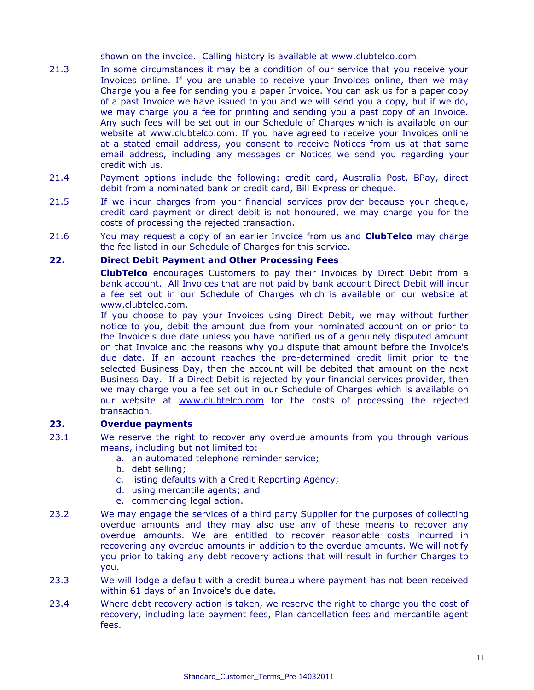shown on the invoice. Calling history is available at www.clubtelco.com.

- 21.3 In some circumstances it may be a condition of our service that you receive your Invoices online. If you are unable to receive your Invoices online, then we may Charge you a fee for sending you a paper Invoice. You can ask us for a paper copy of a past Invoice we have issued to you and we will send you a copy, but if we do, we may charge you a fee for printing and sending you a past copy of an Invoice. Any such fees will be set out in our Schedule of Charges which is available on our website at www.clubtelco.com. If you have agreed to receive your Invoices online at a stated email address, you consent to receive Notices from us at that same email address, including any messages or Notices we send you regarding your credit with us.
- 21.4 Payment options include the following: credit card, Australia Post, BPay, direct debit from a nominated bank or credit card, Bill Express or cheque.
- 21.5 If we incur charges from your financial services provider because your cheque, credit card payment or direct debit is not honoured, we may charge you for the costs of processing the rejected transaction.
- 21.6 You may request a copy of an earlier Invoice from us and **ClubTelco** may charge the fee listed in our Schedule of Charges for this service.

# **22. Direct Debit Payment and Other Processing Fees**

**ClubTelco** encourages Customers to pay their Invoices by Direct Debit from a bank account. All Invoices that are not paid by bank account Direct Debit will incur a fee set out in our Schedule of Charges which is available on our website at www.clubtelco.com.

If you choose to pay your Invoices using Direct Debit, we may without further notice to you, debit the amount due from your nominated account on or prior to the Invoice's due date unless you have notified us of a genuinely disputed amount on that Invoice and the reasons why you dispute that amount before the Invoice's due date. If an account reaches the pre-determined credit limit prior to the selected Business Day, then the account will be debited that amount on the next Business Day. If a Direct Debit is rejected by your financial services provider, then we may charge you a fee set out in our Schedule of Charges which is available on our website at [www.clubtelco.com](http://www.clubtelco.com/) for the costs of processing the rejected transaction.

# **23. Overdue payments**

- 23.1 We reserve the right to recover any overdue amounts from you through various means, including but not limited to:
	- a. an automated telephone reminder service;
	- b. debt selling;
	- c. listing defaults with a Credit Reporting Agency;
	- d. using mercantile agents; and
	- e. commencing legal action.
- 23.2 We may engage the services of a third party Supplier for the purposes of collecting overdue amounts and they may also use any of these means to recover any overdue amounts. We are entitled to recover reasonable costs incurred in recovering any overdue amounts in addition to the overdue amounts. We will notify you prior to taking any debt recovery actions that will result in further Charges to you.
- 23.3 We will lodge a default with a credit bureau where payment has not been received within 61 days of an Invoice's due date.
- 23.4 Where debt recovery action is taken, we reserve the right to charge you the cost of recovery, including late payment fees, Plan cancellation fees and mercantile agent fees.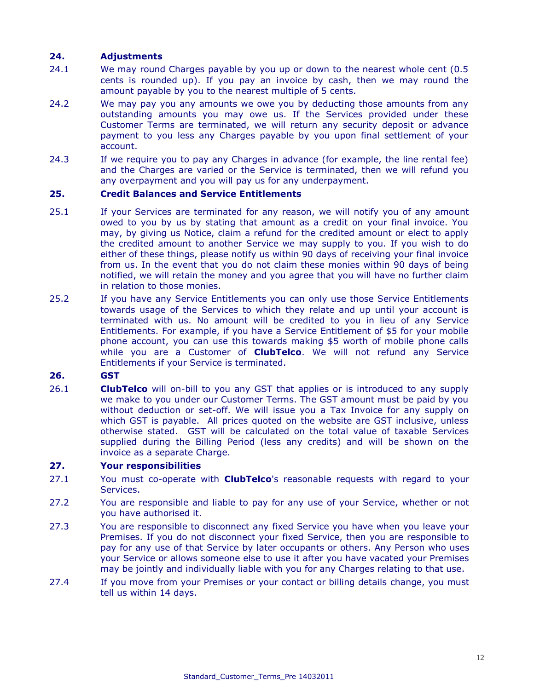# **24. Adjustments**

- 24.1 We may round Charges payable by you up or down to the nearest whole cent (0.5 cents is rounded up). If you pay an invoice by cash, then we may round the amount payable by you to the nearest multiple of 5 cents.
- 24.2 We may pay you any amounts we owe you by deducting those amounts from any outstanding amounts you may owe us. If the Services provided under these Customer Terms are terminated, we will return any security deposit or advance payment to you less any Charges payable by you upon final settlement of your account.
- 24.3 If we require you to pay any Charges in advance (for example, the line rental fee) and the Charges are varied or the Service is terminated, then we will refund you any overpayment and you will pay us for any underpayment.

# **25. Credit Balances and Service Entitlements**

- 25.1 If your Services are terminated for any reason, we will notify you of any amount owed to you by us by stating that amount as a credit on your final invoice. You may, by giving us Notice, claim a refund for the credited amount or elect to apply the credited amount to another Service we may supply to you. If you wish to do either of these things, please notify us within 90 days of receiving your final invoice from us. In the event that you do not claim these monies within 90 days of being notified, we will retain the money and you agree that you will have no further claim in relation to those monies.
- 25.2 If you have any Service Entitlements you can only use those Service Entitlements towards usage of the Services to which they relate and up until your account is terminated with us. No amount will be credited to you in lieu of any Service Entitlements. For example, if you have a Service Entitlement of \$5 for your mobile phone account, you can use this towards making \$5 worth of mobile phone calls while you are a Customer of **ClubTelco**. We will not refund any Service Entitlements if your Service is terminated.

# **26. GST**

26.1 **ClubTelco** will on-bill to you any GST that applies or is introduced to any supply we make to you under our Customer Terms. The GST amount must be paid by you without deduction or set-off. We will issue you a Tax Invoice for any supply on which GST is payable. All prices quoted on the website are GST inclusive, unless otherwise stated. GST will be calculated on the total value of taxable Services supplied during the Billing Period (less any credits) and will be shown on the invoice as a separate Charge.

### **27. Your responsibilities**

- 27.1 You must co-operate with **ClubTelco**'s reasonable requests with regard to your Services.
- 27.2 You are responsible and liable to pay for any use of your Service, whether or not you have authorised it.
- 27.3 You are responsible to disconnect any fixed Service you have when you leave your Premises. If you do not disconnect your fixed Service, then you are responsible to pay for any use of that Service by later occupants or others. Any Person who uses your Service or allows someone else to use it after you have vacated your Premises may be jointly and individually liable with you for any Charges relating to that use.
- 27.4 If you move from your Premises or your contact or billing details change, you must tell us within 14 days.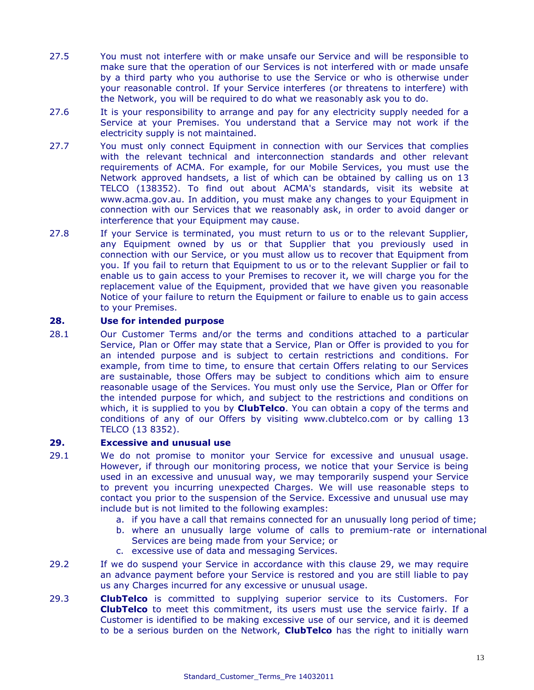- 27.5 You must not interfere with or make unsafe our Service and will be responsible to make sure that the operation of our Services is not interfered with or made unsafe by a third party who you authorise to use the Service or who is otherwise under your reasonable control. If your Service interferes (or threatens to interfere) with the Network, you will be required to do what we reasonably ask you to do.
- 27.6 It is your responsibility to arrange and pay for any electricity supply needed for a Service at your Premises. You understand that a Service may not work if the electricity supply is not maintained.
- 27.7 You must only connect Equipment in connection with our Services that complies with the relevant technical and interconnection standards and other relevant requirements of ACMA. For example, for our Mobile Services, you must use the Network approved handsets, a list of which can be obtained by calling us on 13 TELCO (138352). To find out about ACMA's standards, visit its website at [www.acma.gov.au.](http://www.acma.gov.au/) In addition, you must make any changes to your Equipment in connection with our Services that we reasonably ask, in order to avoid danger or interference that your Equipment may cause.
- 27.8 If your Service is terminated, you must return to us or to the relevant Supplier, any Equipment owned by us or that Supplier that you previously used in connection with our Service, or you must allow us to recover that Equipment from you. If you fail to return that Equipment to us or to the relevant Supplier or fail to enable us to gain access to your Premises to recover it, we will charge you for the replacement value of the Equipment, provided that we have given you reasonable Notice of your failure to return the Equipment or failure to enable us to gain access to your Premises.

# **28. Use for intended purpose**

28.1 Our Customer Terms and/or the terms and conditions attached to a particular Service, Plan or Offer may state that a Service, Plan or Offer is provided to you for an intended purpose and is subject to certain restrictions and conditions. For example, from time to time, to ensure that certain Offers relating to our Services are sustainable, those Offers may be subject to conditions which aim to ensure reasonable usage of the Services. You must only use the Service, Plan or Offer for the intended purpose for which, and subject to the restrictions and conditions on which, it is supplied to you by **ClubTelco**. You can obtain a copy of the terms and conditions of any of our Offers by visiting www[.clubtelco.com](http://www.aapt.com.au/) or by calling 13 TELCO (13 8352).

# **29. Excessive and unusual use**

- 29.1 We do not promise to monitor your Service for excessive and unusual usage. However, if through our monitoring process, we notice that your Service is being used in an excessive and unusual way, we may temporarily suspend your Service to prevent you incurring unexpected Charges. We will use reasonable steps to contact you prior to the suspension of the Service. Excessive and unusual use may include but is not limited to the following examples:
	- a. if you have a call that remains connected for an unusually long period of time;
	- b. where an unusually large volume of calls to premium-rate or international Services are being made from your Service; or
	- c. excessive use of data and messaging Services.
- 29.2 If we do suspend your Service in accordance with this clause 29, we may require an advance payment before your Service is restored and you are still liable to pay us any Charges incurred for any excessive or unusual usage.
- 29.3 **ClubTelco** is committed to supplying superior service to its Customers. For **ClubTelco** to meet this commitment, its users must use the service fairly. If a Customer is identified to be making excessive use of our service, and it is deemed to be a serious burden on the Network, **ClubTelco** has the right to initially warn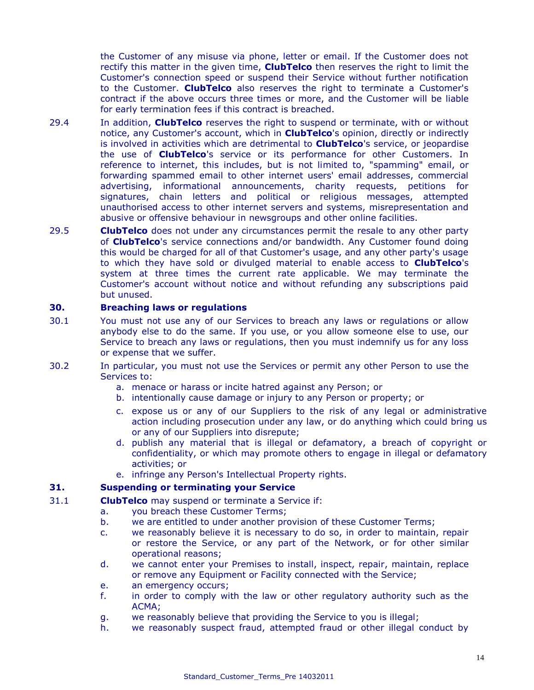the Customer of any misuse via phone, letter or email. If the Customer does not rectify this matter in the given time, **ClubTelco** then reserves the right to limit the Customer's connection speed or suspend their Service without further notification to the Customer. **ClubTelco** also reserves the right to terminate a Customer's contract if the above occurs three times or more, and the Customer will be liable for early termination fees if this contract is breached.

- 29.4 In addition, **ClubTelco** reserves the right to suspend or terminate, with or without notice, any Customer's account, which in **ClubTelco**'s opinion, directly or indirectly is involved in activities which are detrimental to **ClubTelco**'s service, or jeopardise the use of **ClubTelco**'s service or its performance for other Customers. In reference to internet, this includes, but is not limited to, "spamming" email, or forwarding spammed email to other internet users' email addresses, commercial advertising, informational announcements, charity requests, petitions for signatures, chain letters and political or religious messages, attempted unauthorised access to other internet servers and systems, misrepresentation and abusive or offensive behaviour in newsgroups and other online facilities.
- 29.5 **ClubTelco** does not under any circumstances permit the resale to any other party of **ClubTelco**'s service connections and/or bandwidth. Any Customer found doing this would be charged for all of that Customer's usage, and any other party's usage to which they have sold or divulged material to enable access to **ClubTelco**'s system at three times the current rate applicable. We may terminate the Customer's account without notice and without refunding any subscriptions paid but unused.

# **30. Breaching laws or regulations**

- 30.1 You must not use any of our Services to breach any laws or regulations or allow anybody else to do the same. If you use, or you allow someone else to use, our Service to breach any laws or regulations, then you must indemnify us for any loss or expense that we suffer.
- 30.2 In particular, you must not use the Services or permit any other Person to use the Services to:
	- a. menace or harass or incite hatred against any Person; or
	- b. intentionally cause damage or injury to any Person or property; or
	- c. expose us or any of our Suppliers to the risk of any legal or administrative action including prosecution under any law, or do anything which could bring us or any of our Suppliers into disrepute;
	- d. publish any material that is illegal or defamatory, a breach of copyright or confidentiality, or which may promote others to engage in illegal or defamatory activities; or
	- e. infringe any Person's Intellectual Property rights.

# **31. Suspending or terminating your Service**

- 31.1 **ClubTelco** may suspend or terminate a Service if:
	- a. you breach these Customer Terms;
		- b. we are entitled to under another provision of these Customer Terms;
		- c. we reasonably believe it is necessary to do so, in order to maintain, repair or restore the Service, or any part of the Network, or for other similar operational reasons;
		- d. we cannot enter your Premises to install, inspect, repair, maintain, replace or remove any Equipment or Facility connected with the Service;
		- e. an emergency occurs;
		- f. in order to comply with the law or other regulatory authority such as the ACMA;
		- g. we reasonably believe that providing the Service to you is illegal;
		- h. we reasonably suspect fraud, attempted fraud or other illegal conduct by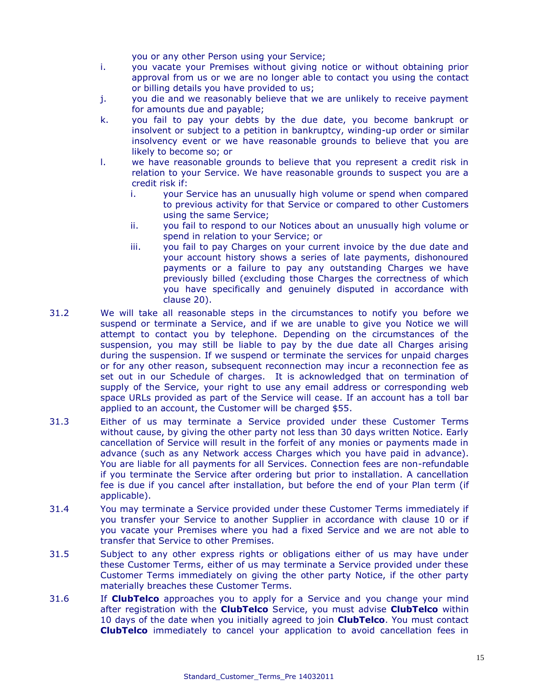you or any other Person using your Service;

- i. you vacate your Premises without giving notice or without obtaining prior approval from us or we are no longer able to contact you using the contact or billing details you have provided to us;
- j. you die and we reasonably believe that we are unlikely to receive payment for amounts due and payable;
- k. you fail to pay your debts by the due date, you become bankrupt or insolvent or subject to a petition in bankruptcy, winding-up order or similar insolvency event or we have reasonable grounds to believe that you are likely to become so; or
- l. we have reasonable grounds to believe that you represent a credit risk in relation to your Service. We have reasonable grounds to suspect you are a credit risk if:
	- i. your Service has an unusually high volume or spend when compared to previous activity for that Service or compared to other Customers using the same Service;
	- ii. you fail to respond to our Notices about an unusually high volume or spend in relation to your Service; or
	- iii. you fail to pay Charges on your current invoice by the due date and your account history shows a series of late payments, dishonoured payments or a failure to pay any outstanding Charges we have previously billed (excluding those Charges the correctness of which you have specifically and genuinely disputed in accordance with clause 20).
- 31.2 We will take all reasonable steps in the circumstances to notify you before we suspend or terminate a Service, and if we are unable to give you Notice we will attempt to contact you by telephone. Depending on the circumstances of the suspension, you may still be liable to pay by the due date all Charges arising during the suspension. If we suspend or terminate the services for unpaid charges or for any other reason, subsequent reconnection may incur a reconnection fee as set out in our Schedule of charges. It is acknowledged that on termination of supply of the Service, your right to use any email address or corresponding web space URLs provided as part of the Service will cease. If an account has a toll bar applied to an account, the Customer will be charged \$55.
- 31.3 Either of us may terminate a Service provided under these Customer Terms without cause, by giving the other party not less than 30 days written Notice. Early cancellation of Service will result in the forfeit of any monies or payments made in advance (such as any Network access Charges which you have paid in advance). You are liable for all payments for all Services. Connection fees are non-refundable if you terminate the Service after ordering but prior to installation. A cancellation fee is due if you cancel after installation, but before the end of your Plan term (if applicable).
- 31.4 You may terminate a Service provided under these Customer Terms immediately if you transfer your Service to another Supplier in accordance with clause 10 or if you vacate your Premises where you had a fixed Service and we are not able to transfer that Service to other Premises.
- 31.5 Subject to any other express rights or obligations either of us may have under these Customer Terms, either of us may terminate a Service provided under these Customer Terms immediately on giving the other party Notice, if the other party materially breaches these Customer Terms.
- 31.6 If **ClubTelco** approaches you to apply for a Service and you change your mind after registration with the **ClubTelco** Service, you must advise **ClubTelco** within 10 days of the date when you initially agreed to join **ClubTelco**. You must contact **ClubTelco** immediately to cancel your application to avoid cancellation fees in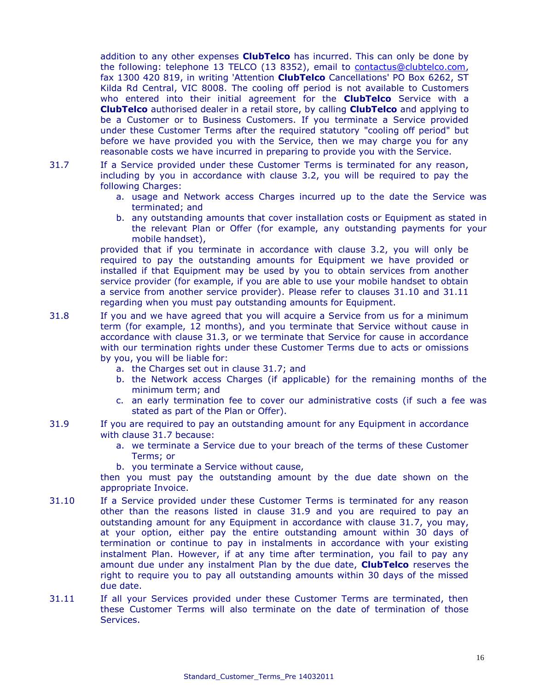addition to any other expenses **ClubTelco** has incurred. This can only be done by the following: telephone 13 TELCO (13 8352), email to [contactus@clubtelco.com,](mailto:contactus@clubtelco.com) fax 1300 420 819, in writing 'Attention **ClubTelco** Cancellations' PO Box 6262, ST Kilda Rd Central, VIC 8008. The cooling off period is not available to Customers who entered into their initial agreement for the **ClubTelco** Service with a **ClubTelco** authorised dealer in a retail store, by calling **ClubTelco** and applying to be a Customer or to Business Customers. If you terminate a Service provided under these Customer Terms after the required statutory "cooling off period" but before we have provided you with the Service, then we may charge you for any reasonable costs we have incurred in preparing to provide you with the Service.

- 31.7 If a Service provided under these Customer Terms is terminated for any reason, including by you in accordance with clause 3.2, you will be required to pay the following Charges:
	- a. usage and Network access Charges incurred up to the date the Service was terminated; and
	- b. any outstanding amounts that cover installation costs or Equipment as stated in the relevant Plan or Offer (for example, any outstanding payments for your mobile handset),

provided that if you terminate in accordance with clause 3.2, you will only be required to pay the outstanding amounts for Equipment we have provided or installed if that Equipment may be used by you to obtain services from another service provider (for example, if you are able to use your mobile handset to obtain a service from another service provider). Please refer to clauses 31.10 and 31.11 regarding when you must pay outstanding amounts for Equipment.

- 31.8 If you and we have agreed that you will acquire a Service from us for a minimum term (for example, 12 months), and you terminate that Service without cause in accordance with clause 31.3, or we terminate that Service for cause in accordance with our termination rights under these Customer Terms due to acts or omissions by you, you will be liable for:
	- a. the Charges set out in clause 31.7; and
	- b. the Network access Charges (if applicable) for the remaining months of the minimum term; and
	- c. an early termination fee to cover our administrative costs (if such a fee was stated as part of the Plan or Offer).
- 31.9 If you are required to pay an outstanding amount for any Equipment in accordance with clause 31.7 because:
	- a. we terminate a Service due to your breach of the terms of these Customer Terms; or
	- b. you terminate a Service without cause,

then you must pay the outstanding amount by the due date shown on the appropriate Invoice.

- 31.10 If a Service provided under these Customer Terms is terminated for any reason other than the reasons listed in clause 31.9 and you are required to pay an outstanding amount for any Equipment in accordance with clause 31.7, you may, at your option, either pay the entire outstanding amount within 30 days of termination or continue to pay in instalments in accordance with your existing instalment Plan. However, if at any time after termination, you fail to pay any amount due under any instalment Plan by the due date, **ClubTelco** reserves the right to require you to pay all outstanding amounts within 30 days of the missed due date.
- 31.11 If all your Services provided under these Customer Terms are terminated, then these Customer Terms will also terminate on the date of termination of those Services.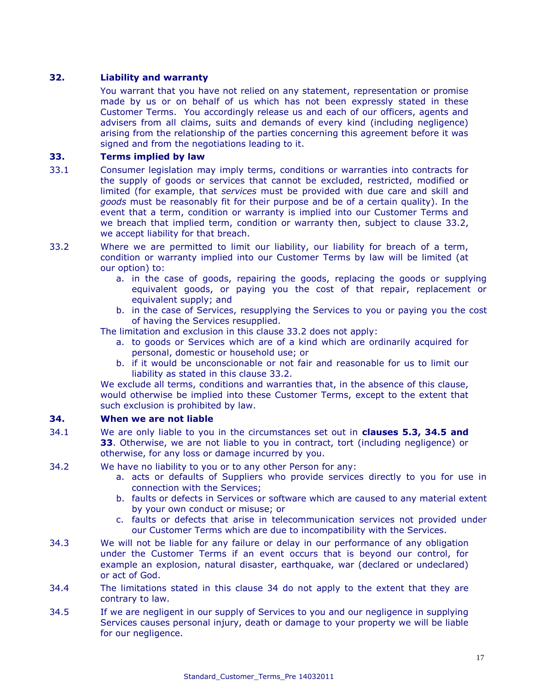# **32. Liability and warranty**

You warrant that you have not relied on any statement, representation or promise made by us or on behalf of us which has not been expressly stated in these Customer Terms. You accordingly release us and each of our officers, agents and advisers from all claims, suits and demands of every kind (including negligence) arising from the relationship of the parties concerning this agreement before it was signed and from the negotiations leading to it.

# **33. Terms implied by law**

- 33.1 Consumer legislation may imply terms, conditions or warranties into contracts for the supply of goods or services that cannot be excluded, restricted, modified or limited (for example, that *services* must be provided with due care and skill and *goods* must be reasonably fit for their purpose and be of a certain quality). In the event that a term, condition or warranty is implied into our Customer Terms and we breach that implied term, condition or warranty then, subject to clause 33.2, we accept liability for that breach.
- 33.2 Where we are permitted to limit our liability, our liability for breach of a term, condition or warranty implied into our Customer Terms by law will be limited (at our option) to:
	- a. in the case of goods, repairing the goods, replacing the goods or supplying equivalent goods, or paying you the cost of that repair, replacement or equivalent supply; and
	- b. in the case of Services, resupplying the Services to you or paying you the cost of having the Services resupplied.

The limitation and exclusion in this clause 33.2 does not apply:

- a. to goods or Services which are of a kind which are ordinarily acquired for personal, domestic or household use; or
- b. if it would be unconscionable or not fair and reasonable for us to limit our liability as stated in this clause 33.2.

We exclude all terms, conditions and warranties that, in the absence of this clause, would otherwise be implied into these Customer Terms, except to the extent that such exclusion is prohibited by law.

# **34. When we are not liable**

- 34.1 We are only liable to you in the circumstances set out in **clauses 5.3, 34.5 and 33**. Otherwise, we are not liable to you in contract, tort (including negligence) or otherwise, for any loss or damage incurred by you.
- 34.2 We have no liability to you or to any other Person for any:
	- a. acts or defaults of Suppliers who provide services directly to you for use in connection with the Services;
	- b. faults or defects in Services or software which are caused to any material extent by your own conduct or misuse; or
	- c. faults or defects that arise in telecommunication services not provided under our Customer Terms which are due to incompatibility with the Services.
- 34.3 We will not be liable for any failure or delay in our performance of any obligation under the Customer Terms if an event occurs that is beyond our control, for example an explosion, natural disaster, earthquake, war (declared or undeclared) or act of God.
- 34.4 The limitations stated in this clause 34 do not apply to the extent that they are contrary to law.
- 34.5 If we are negligent in our supply of Services to you and our negligence in supplying Services causes personal injury, death or damage to your property we will be liable for our negligence.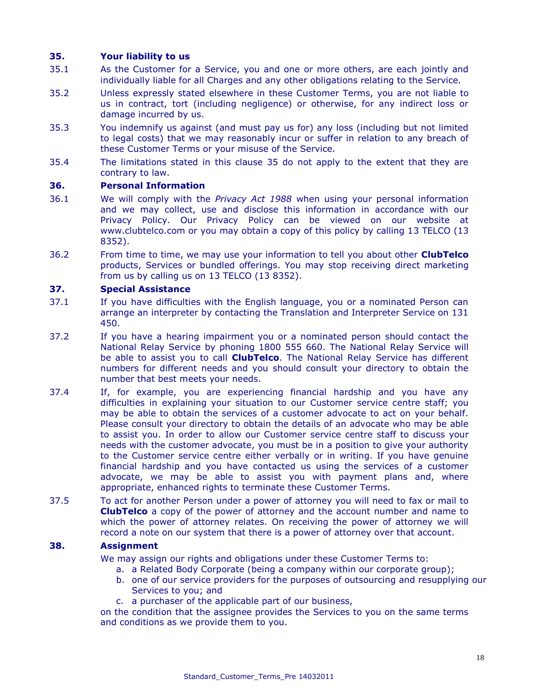# **35. Your liability to us**

- 35.1 As the Customer for a Service, you and one or more others, are each jointly and individually liable for all Charges and any other obligations relating to the Service.
- 35.2 Unless expressly stated elsewhere in these Customer Terms, you are not liable to us in contract, tort (including negligence) or otherwise, for any indirect loss or damage incurred by us.
- 35.3 You indemnify us against (and must pay us for) any loss (including but not limited to legal costs) that we may reasonably incur or suffer in relation to any breach of these Customer Terms or your misuse of the Service.
- 35.4 The limitations stated in this clause 35 do not apply to the extent that they are contrary to law.

### **36. Personal Information**

- 36.1 We will comply with the *Privacy Act 1988* when using your personal information and we may collect, use and disclose this information in accordance with our Privacy Policy. Our Privacy Policy can be viewed on our website at www[.clubtelco.com](http://www.aapt.com.au/) or you may obtain a copy of this policy by calling 13 TELCO (13 8352).
- 36.2 From time to time, we may use your information to tell you about other **ClubTelco** products, Services or bundled offerings. You may stop receiving direct marketing from us by calling us on 13 TELCO (13 8352).

# **37. Special Assistance**

- 37.1 If you have difficulties with the English language, you or a nominated Person can arrange an interpreter by contacting the Translation and Interpreter Service on 131 450.
- 37.2 If you have a hearing impairment you or a nominated person should contact the National Relay Service by phoning 1800 555 660. The National Relay Service will be able to assist you to call **ClubTelco**. The National Relay Service has different numbers for different needs and you should consult your directory to obtain the number that best meets your needs.
- 37.4 If, for example, you are experiencing financial hardship and you have any difficulties in explaining your situation to our Customer service centre staff; you may be able to obtain the services of a customer advocate to act on your behalf. Please consult your directory to obtain the details of an advocate who may be able to assist you. In order to allow our Customer service centre staff to discuss your needs with the customer advocate, you must be in a position to give your authority to the Customer service centre either verbally or in writing. If you have genuine financial hardship and you have contacted us using the services of a customer advocate, we may be able to assist you with payment plans and, where appropriate, enhanced rights to terminate these Customer Terms.
- 37.5 To act for another Person under a power of attorney you will need to fax or mail to **ClubTelco** a copy of the power of attorney and the account number and name to which the power of attorney relates. On receiving the power of attorney we will record a note on our system that there is a power of attorney over that account.

# **38. Assignment**

We may assign our rights and obligations under these Customer Terms to:

- a. a Related Body Corporate (being a company within our corporate group);
- b. one of our service providers for the purposes of outsourcing and resupplying our Services to you; and
- c. a purchaser of the applicable part of our business,

on the condition that the assignee provides the Services to you on the same terms and conditions as we provide them to you.